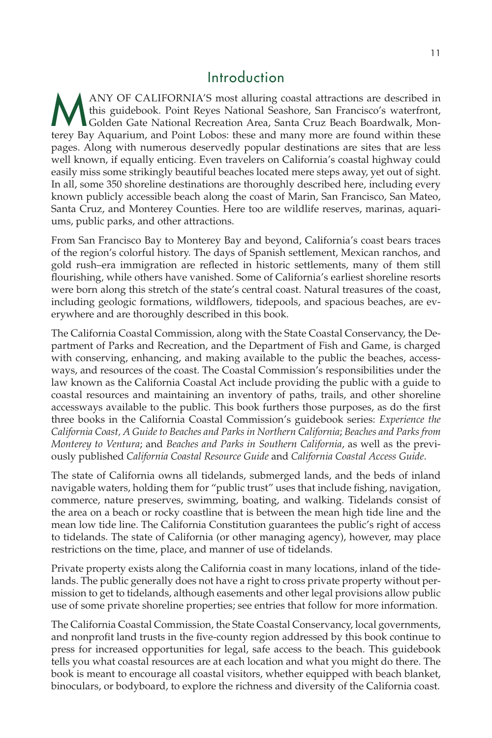# Introduction

MANY OF CALIFORNIA'S most alluring coastal attractions are described in this guidebook. Point Reyes National Seashore, San Francisco's waterfront, Golden Gate National Recreation Area, Santa Cruz Beach Boardwalk, Monterey Bay Aquarium, and Point Lobos: these and many more are found within these pages. Along with numerous deservedly popular destinations are sites that are less well known, if equally enticing. Even travelers on California's coastal highway could easily miss some strikingly beautiful beaches located mere steps away, yet out of sight. In all, some 350 shoreline destinations are thoroughly described here, including every known publicly accessible beach along the coast of Marin, San Francisco, San Mateo, Santa Cruz, and Monterey Counties. Here too are wildlife reserves, marinas, aquariums, public parks, and other attractions.

From San Francisco Bay to Monterey Bay and beyond, California's coast bears traces of the region's colorful history. The days of Spanish settlement, Mexican ranchos, and gold rush–era immigration are reflected in historic settlements, many of them still flourishing, while others have vanished. Some of California's earliest shoreline resorts were born along this stretch of the state's central coast. Natural treasures of the coast, including geologic formations, wildflowers, tidepools, and spacious beaches, are everywhere and are thoroughly described in this book.

The California Coastal Commission, along with the State Coastal Conservancy, the Department of Parks and Recreation, and the Department of Fish and Game, is charged with conserving, enhancing, and making available to the public the beaches, accessways, and resources of the coast. The Coastal Commission's responsibilities under the law known as the California Coastal Act include providing the public with a guide to coastal resources and maintaining an inventory of paths, trails, and other shoreline accessways available to the public. This book furthers those purposes, as do the first three books in the California Coastal Commission's guidebook series: *Experience the California Coast, A Guide to Beaches and Parks in Northern California*; *Beaches and Parks from Monterey to Ventura*; and *Beaches and Parks in Southern California*, as well as the previously published *California Coastal Resource Guide* and *California Coastal Access Guide*.

The state of California owns all tidelands, submerged lands, and the beds of inland navigable waters, holding them for "public trust" uses that include fishing, navigation, commerce, nature preserves, swimming, boating, and walking. Tidelands consist of the area on a beach or rocky coastline that is between the mean high tide line and the mean low tide line. The California Constitution guarantees the public's right of access to tidelands. The state of California (or other managing agency), however, may place restrictions on the time, place, and manner of use of tidelands.

Private property exists along the California coast in many locations, inland of the tidelands. The public generally does not have a right to cross private property without permission to get to tidelands, although easements and other legal provisions allow public use of some private shoreline properties; see entries that follow for more information.

The California Coastal Commission, the State Coastal Conservancy, local governments, and nonprofit land trusts in the five-county region addressed by this book continue to press for increased opportunities for legal, safe access to the beach. This guidebook tells you what coastal resources are at each location and what you might do there. The book is meant to encourage all coastal visitors, whether equipped with beach blanket, binoculars, or bodyboard, to explore the richness and diversity of the California coast.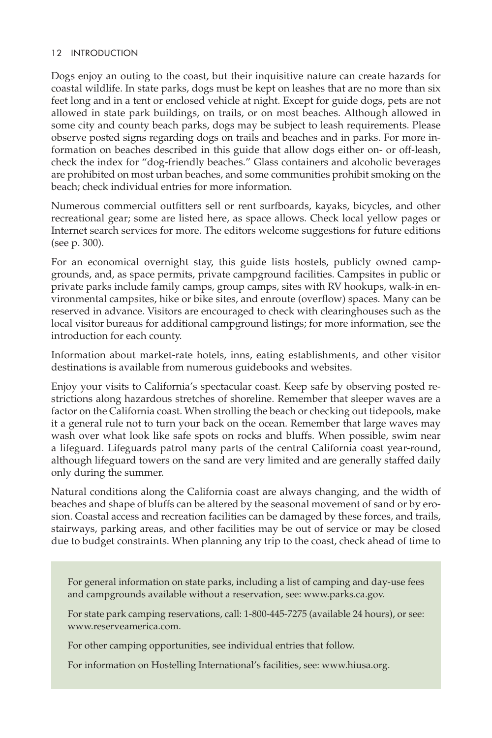#### 12 INTRODUCTION

Dogs enjoy an outing to the coast, but their inquisitive nature can create hazards for coastal wildlife. In state parks, dogs must be kept on leashes that are no more than six feet long and in a tent or enclosed vehicle at night. Except for guide dogs, pets are not allowed in state park buildings, on trails, or on most beaches. Although allowed in some city and county beach parks, dogs may be subject to leash requirements. Please observe posted signs regarding dogs on trails and beaches and in parks. For more information on beaches described in this guide that allow dogs either on- or off-leash, check the index for "dog-friendly beaches." Glass containers and alcoholic beverages are prohibited on most urban beaches, and some communities prohibit smoking on the beach; check individual entries for more information.

Numerous commercial outfitters sell or rent surfboards, kayaks, bicycles, and other recreational gear; some are listed here, as space allows. Check local yellow pages or Internet search services for more. The editors welcome suggestions for future editions (see p. 300).

For an economical overnight stay, this guide lists hostels, publicly owned campgrounds, and, as space permits, private campground facilities. Campsites in public or private parks include family camps, group camps, sites with RV hookups, walk-in environmental campsites, hike or bike sites, and enroute (overflow) spaces. Many can be reserved in advance. Visitors are encouraged to check with clearinghouses such as the local visitor bureaus for additional campground listings; for more information, see the introduction for each county.

Information about market-rate hotels, inns, eating establishments, and other visitor destinations is available from numerous guidebooks and websites.

Enjoy your visits to California's spectacular coast. Keep safe by observing posted restrictions along hazardous stretches of shoreline. Remember that sleeper waves are a factor on the California coast. When strolling the beach or checking out tidepools, make it a general rule not to turn your back on the ocean. Remember that large waves may wash over what look like safe spots on rocks and bluffs. When possible, swim near a lifeguard. Lifeguards patrol many parts of the central California coast year-round, although lifeguard towers on the sand are very limited and are generally staffed daily only during the summer.

Natural conditions along the California coast are always changing, and the width of beaches and shape of bluffs can be altered by the seasonal movement of sand or by erosion. Coastal access and recreation facilities can be damaged by these forces, and trails, stairways, parking areas, and other facilities may be out of service or may be closed due to budget constraints. When planning any trip to the coast, check ahead of time to

For general information on state parks, including a list of camping and day-use fees and campgrounds available without a reservation, see: www.parks.ca.gov.

For state park camping reservations, call: 1-800-445-7275 (available 24 hours), or see: www.reserveamerica.com.

For other camping opportunities, see individual entries that follow.

For information on Hostelling International's facilities, see: www.hiusa.org.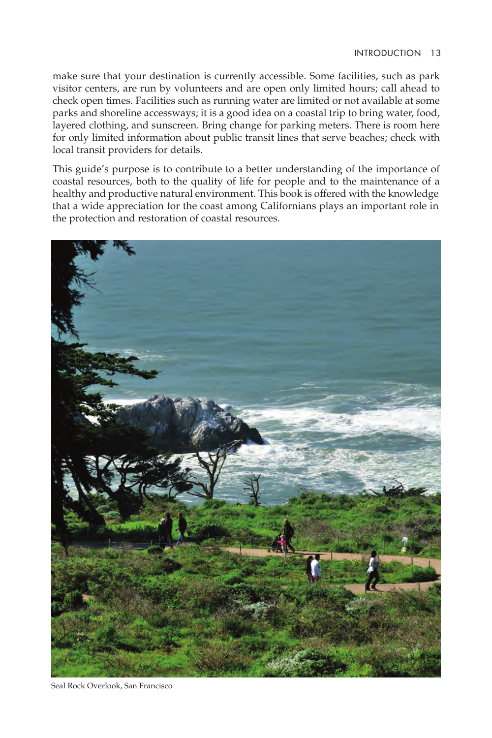make sure that your destination is currently accessible. Some facilities, such as park visitor centers, are run by volunteers and are open only limited hours; call ahead to check open times. Facilities such as running water are limited or not available at some parks and shoreline accessways; it is a good idea on a coastal trip to bring water, food, layered clothing, and sunscreen. Bring change for parking meters. There is room here for only limited information about public transit lines that serve beaches; check with local transit providers for details.

This guide's purpose is to contribute to a better understanding of the importance of coastal resources, both to the quality of life for people and to the maintenance of a healthy and productive natural environment. This book is offered with the knowledge that a wide appreciation for the coast among Californians plays an important role in the protection and restoration of coastal resources.



Seal Rock Overlook, San Francisco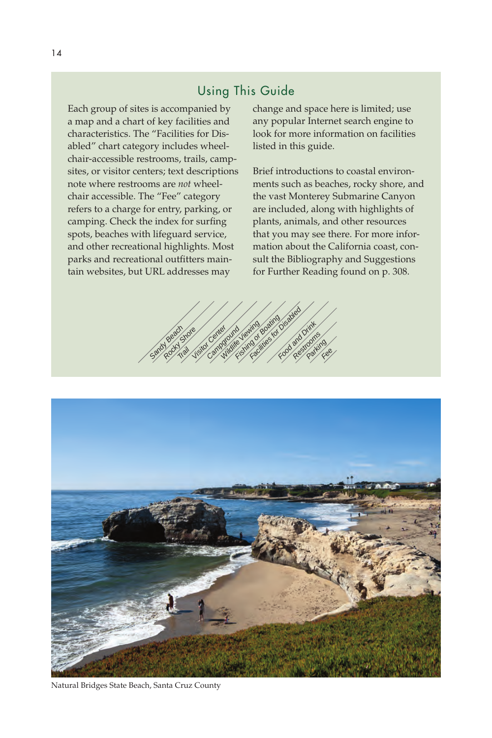### Using This Guide

Each group of sites is accompanied by a map and a chart of key facilities and characteristics. The "Facilities for Disabled" chart category includes wheelchair-accessible restrooms, trails, campsites, or visitor centers; text descriptions note where restrooms are *not* wheelchair accessible. The "Fee" category refers to a charge for entry, parking, or camping. Check the index for surfing spots, beaches with lifeguard service, and other recreational highlights. Most parks and recreational outfitters maintain websites, but URL addresses may

change and space here is limited; use any popular Internet search engine to look for more information on facilities listed in this guide.

Brief introductions to coastal environments such as beaches, rocky shore, and the vast Monterey Submarine Canyon are included, along with highlights of plants, animals, and other resources that you may see there. For more information about the California coast, consult the Bibliography and Suggestions for Further Reading found on p. 308.

Sandy Beach Rocky Shore **Trail** e Genter Campground ex<sub>dipping</sub> of Viewing **R** Jiewing Boating **Facilities for Disabled**  *Food and Drink Restrooms* **Parking**  *Fee*



Natural Bridges State Beach, Santa Cruz County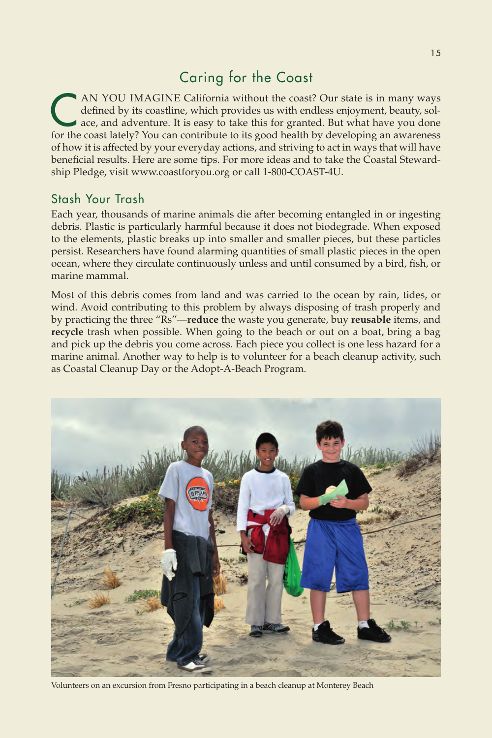# Caring for the Coast

AN YOU IMAGINE California without the coast? Our state is in many ways defined by its coastline, which provides us with endless enjoyment, beauty, solace, and adventure. It is easy to take this for granted. But what have y defined by its coastline, which provides us with endless enjoyment, beauty, solace, and adventure. It is easy to take this for granted. But what have you done for the coast lately? You can contribute to its good health by developing an awareness of how it is affected by your everyday actions, and striving to act in ways that will have beneficial results. Here are some tips. For more ideas and to take the Coastal Stewardship Pledge, visit www.coastforyou.org or call 1-800-COAST-4U.

### Stash Your Trash

Each year, thousands of marine animals die after becoming entangled in or ingesting debris. Plastic is particularly harmful because it does not biodegrade. When exposed to the elements, plastic breaks up into smaller and smaller pieces, but these particles persist. Researchers have found alarming quantities of small plastic pieces in the open ocean, where they circulate continuously unless and until consumed by a bird, fish, or marine mammal.

Most of this debris comes from land and was carried to the ocean by rain, tides, or wind. Avoid contributing to this problem by always disposing of trash properly and by practicing the three "Rs"—**reduce** the waste you generate, buy **reusable** items, and **recycle** trash when possible. When going to the beach or out on a boat, bring a bag and pick up the debris you come across. Each piece you collect is one less hazard for a marine animal. Another way to help is to volunteer for a beach cleanup activity, such as Coastal Cleanup Day or the Adopt-A-Beach Program.



Volunteers on an excursion from Fresno participating in a beach cleanup at Monterey Beach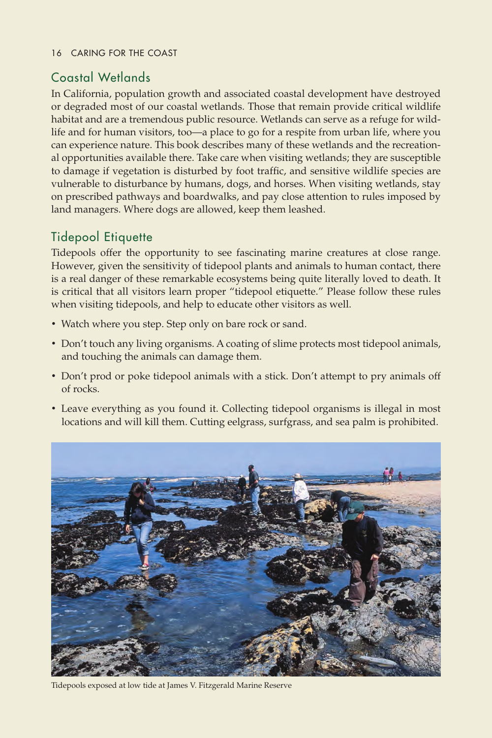#### 16 CARING FOR THE COAST

# Coastal Wetlands

In California, population growth and associated coastal development have destroyed or degraded most of our coastal wetlands. Those that remain provide critical wildlife habitat and are a tremendous public resource. Wetlands can serve as a refuge for wildlife and for human visitors, too—a place to go for a respite from urban life, where you can experience nature. This book describes many of these wetlands and the recreational opportunities available there. Take care when visiting wetlands; they are susceptible to damage if vegetation is disturbed by foot traffic, and sensitive wildlife species are vulnerable to disturbance by humans, dogs, and horses. When visiting wetlands, stay on prescribed pathways and boardwalks, and pay close attention to rules imposed by land managers. Where dogs are allowed, keep them leashed.

# Tidepool Etiquette

Tidepools offer the opportunity to see fascinating marine creatures at close range. However, given the sensitivity of tidepool plants and animals to human contact, there is a real danger of these remarkable ecosystems being quite literally loved to death. It is critical that all visitors learn proper "tidepool etiquette." Please follow these rules when visiting tidepools, and help to educate other visitors as well.

- Watch where you step. Step only on bare rock or sand.
- Don't touch any living organisms. A coating of slime protects most tidepool animals, and touching the animals can damage them.
- Don't prod or poke tidepool animals with a stick. Don't attempt to pry animals off of rocks.
- Leave everything as you found it. Collecting tidepool organisms is illegal in most locations and will kill them. Cutting eelgrass, surfgrass, and sea palm is prohibited.



Tidepools exposed at low tide at James V. Fitzgerald Marine Reserve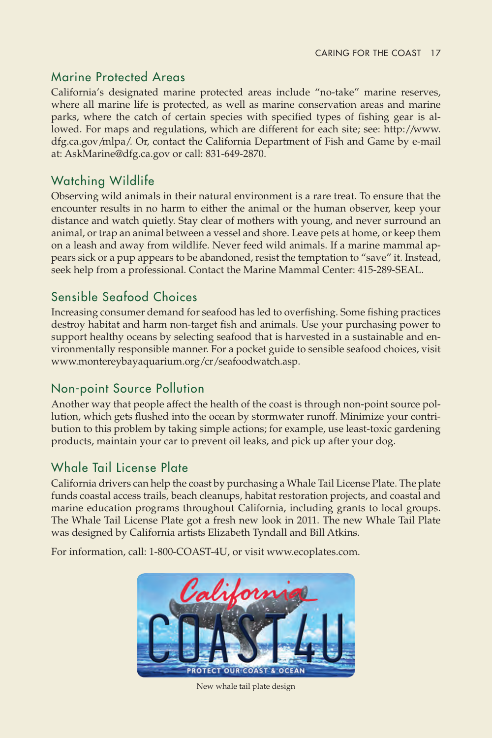### Marine Protected Areas

California's designated marine protected areas include "no-take" marine reserves, where all marine life is protected, as well as marine conservation areas and marine parks, where the catch of certain species with specified types of fishing gear is allowed. For maps and regulations, which are different for each site; see: http://www. dfg.ca.gov/mlpa/. Or, contact the California Department of Fish and Game by e-mail at: AskMarine@dfg.ca.gov or call: 831-649-2870.

## Watching Wildlife

Observing wild animals in their natural environment is a rare treat. To ensure that the encounter results in no harm to either the animal or the human observer, keep your distance and watch quietly. Stay clear of mothers with young, and never surround an animal, or trap an animal between a vessel and shore. Leave pets at home, or keep them on a leash and away from wildlife. Never feed wild animals. If a marine mammal appears sick or a pup appears to be abandoned, resist the temptation to "save" it. Instead, seek help from a professional. Contact the Marine Mammal Center: 415-289-SEAL.

# Sensible Seafood Choices

Increasing consumer demand for seafood has led to overfishing. Some fishing practices destroy habitat and harm non-target fish and animals. Use your purchasing power to support healthy oceans by selecting seafood that is harvested in a sustainable and environmentally responsible manner. For a pocket guide to sensible seafood choices, visit www.montereybayaquarium.org/cr/seafoodwatch.asp.

### Non-point Source Pollution

Another way that people affect the health of the coast is through non-point source pollution, which gets flushed into the ocean by stormwater runoff. Minimize your contribution to this problem by taking simple actions; for example, use least-toxic gardening products, maintain your car to prevent oil leaks, and pick up after your dog.

# Whale Tail License Plate

California drivers can help the coast by purchasing a Whale Tail License Plate. The plate funds coastal access trails, beach cleanups, habitat restoration projects, and coastal and marine education programs throughout California, including grants to local groups. The Whale Tail License Plate got a fresh new look in 2011. The new Whale Tail Plate was designed by California artists Elizabeth Tyndall and Bill Atkins.

For information, call: 1-800-COAST-4U, or visit www.ecoplates.com.



New whale tail plate design